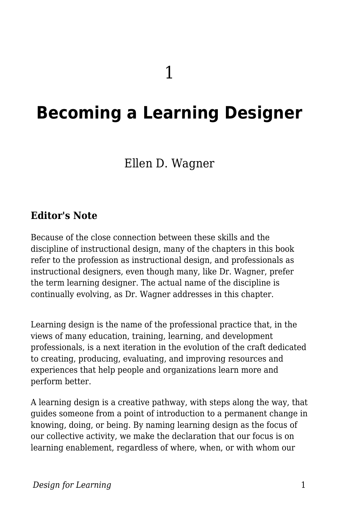# **Becoming a Learning Designer**

## Ellen D. Wagner

### **Editor's Note**

Because of the close connection between these skills and the discipline of instructional design, many of the chapters in this book refer to the profession as instructional design, and professionals as instructional designers, even though many, like Dr. Wagner, prefer the term learning designer. The actual name of the discipline is continually evolving, as Dr. Wagner addresses in this chapter.

Learning design is the name of the professional practice that, in the views of many education, training, learning, and development professionals, is a next iteration in the evolution of the craft dedicated to creating, producing, evaluating, and improving resources and experiences that help people and organizations learn more and perform better.

A learning design is a creative pathway, with steps along the way, that guides someone from a point of introduction to a permanent change in knowing, doing, or being. By naming learning design as the focus of our collective activity, we make the declaration that our focus is on learning enablement, regardless of where, when, or with whom our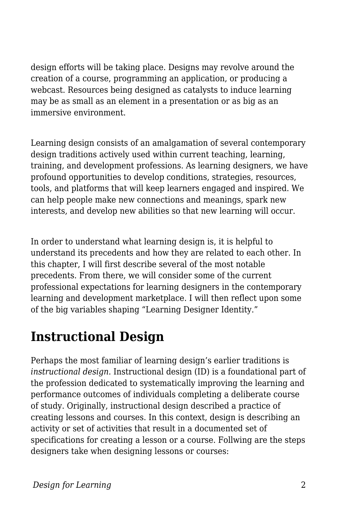design efforts will be taking place. Designs may revolve around the creation of a course, programming an application, or producing a webcast. Resources being designed as catalysts to induce learning may be as small as an element in a presentation or as big as an immersive environment.

Learning design consists of an amalgamation of several contemporary design traditions actively used within current teaching, learning, training, and development professions. As learning designers, we have profound opportunities to develop conditions, strategies, resources, tools, and platforms that will keep learners engaged and inspired. We can help people make new connections and meanings, spark new interests, and develop new abilities so that new learning will occur.

In order to understand what learning design is, it is helpful to understand its precedents and how they are related to each other. In this chapter, I will first describe several of the most notable precedents. From there, we will consider some of the current professional expectations for learning designers in the contemporary learning and development marketplace. I will then reflect upon some of the big variables shaping "Learning Designer Identity."

## **Instructional Design**

Perhaps the most familiar of learning design's earlier traditions is *instructional design*. Instructional design (ID) is a foundational part of the profession dedicated to systematically improving the learning and performance outcomes of individuals completing a deliberate course of study. Originally, instructional design described a practice of creating lessons and courses. In this context, design is describing an activity or set of activities that result in a documented set of specifications for creating a lesson or a course. Follwing are the steps designers take when designing lessons or courses: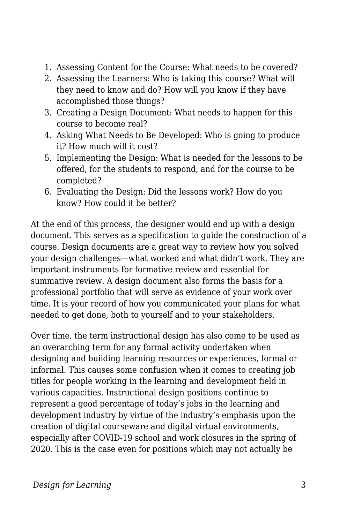- 1. Assessing Content for the Course: What needs to be covered?
- 2. Assessing the Learners: Who is taking this course? What will they need to know and do? How will you know if they have accomplished those things?
- 3. Creating a Design Document: What needs to happen for this course to become real?
- 4. Asking What Needs to Be Developed: Who is going to produce it? How much will it cost?
- 5. Implementing the Design: What is needed for the lessons to be offered, for the students to respond, and for the course to be completed?
- 6. Evaluating the Design: Did the lessons work? How do you know? How could it be better?

At the end of this process, the designer would end up with a design document. This serves as a specification to guide the construction of a course. Design documents are a great way to review how you solved your design challenges—what worked and what didn't work. They are important instruments for formative review and essential for summative review. A design document also forms the basis for a professional portfolio that will serve as evidence of your work over time. It is your record of how you communicated your plans for what needed to get done, both to yourself and to your stakeholders.

Over time, the term instructional design has also come to be used as an overarching term for any formal activity undertaken when designing and building learning resources or experiences, formal or informal. This causes some confusion when it comes to creating job titles for people working in the learning and development field in various capacities. Instructional design positions continue to represent a good percentage of today's jobs in the learning and development industry by virtue of the industry's emphasis upon the creation of digital courseware and digital virtual environments, especially after COVID-19 school and work closures in the spring of 2020. This is the case even for positions which may not actually be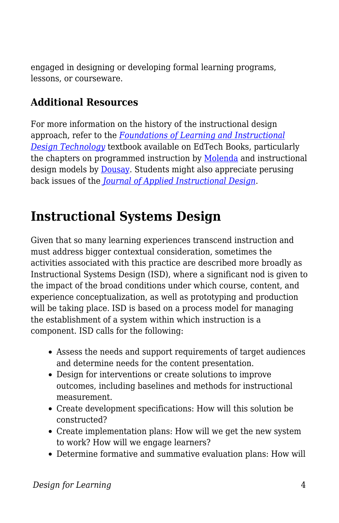engaged in designing or developing formal learning programs, lessons, or courseware.

### **Additional Resources**

For more information on the history of the instructional design approach, refer to the *[Foundations of Learning and Instructional](https://edtechbooks.org/lidtfoundations) [Design Technology](https://edtechbooks.org/lidtfoundations)* textbook available on EdTech Books, particularly the chapters on programmed instruction by [Molenda](https://edtechbooks.org/lidtfoundations/programmed_instruction) and instructional design models by [Dousay.](https://edtechbooks.org/lidtfoundations/instructional_design_models) Students might also appreciate perusing back issues of the *[Journal of Applied Instructional Design](https://edtechbooks.org/jaid_9_3/about_the_journal)*.

## **Instructional Systems Design**

Given that so many learning experiences transcend instruction and must address bigger contextual consideration, sometimes the activities associated with this practice are described more broadly as Instructional Systems Design (ISD), where a significant nod is given to the impact of the broad conditions under which course, content, and experience conceptualization, as well as prototyping and production will be taking place. ISD is based on a process model for managing the establishment of a system within which instruction is a component. ISD calls for the following:

- Assess the needs and support requirements of target audiences and determine needs for the content presentation.
- Design for interventions or create solutions to improve outcomes, including baselines and methods for instructional measurement.
- Create development specifications: How will this solution be constructed?
- Create implementation plans: How will we get the new system to work? How will we engage learners?
- Determine formative and summative evaluation plans: How will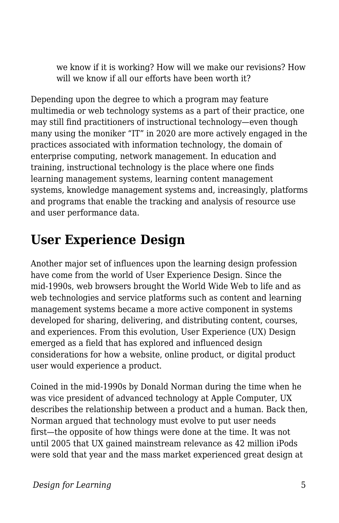we know if it is working? How will we make our revisions? How will we know if all our efforts have been worth it?

Depending upon the degree to which a program may feature multimedia or web technology systems as a part of their practice, one may still find practitioners of instructional technology—even though many using the moniker "IT" in 2020 are more actively engaged in the practices associated with information technology, the domain of enterprise computing, network management. In education and training, instructional technology is the place where one finds learning management systems, learning content management systems, knowledge management systems and, increasingly, platforms and programs that enable the tracking and analysis of resource use and user performance data.

# **User Experience Design**

Another major set of influences upon the learning design profession have come from the world of User Experience Design. Since the mid-1990s, web browsers brought the World Wide Web to life and as web technologies and service platforms such as content and learning management systems became a more active component in systems developed for sharing, delivering, and distributing content, courses, and experiences. From this evolution, User Experience (UX) Design emerged as a field that has explored and influenced design considerations for how a website, online product, or digital product user would experience a product.

Coined in the mid-1990s by Donald Norman during the time when he was vice president of advanced technology at Apple Computer, UX describes the relationship between a product and a human. Back then, Norman argued that technology must evolve to put user needs first—the opposite of how things were done at the time. It was not until 2005 that UX gained mainstream relevance as 42 million iPods were sold that year and the mass market experienced great design at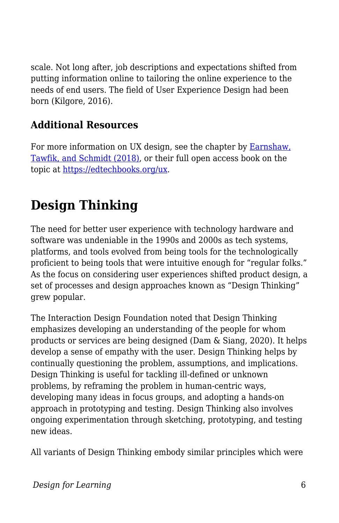scale. Not long after, job descriptions and expectations shifted from putting information online to tailoring the online experience to the needs of end users. The field of User Experience Design had been born (Kilgore, 2016).

## **Additional Resources**

For more information on UX design, see the chapter by **Earnshaw**, [Tawfik, and Schmidt \(2018\),](https://edtechbooks.org/lidtfoundations/user_experience_design) or their full open access book on the topic at [https://edtechbooks.org/ux.](https://edtechbooks.org/ux)

# **Design Thinking**

The need for better user experience with technology hardware and software was undeniable in the 1990s and 2000s as tech systems, platforms, and tools evolved from being tools for the technologically proficient to being tools that were intuitive enough for "regular folks." As the focus on considering user experiences shifted product design, a set of processes and design approaches known as "Design Thinking" grew popular.

The Interaction Design Foundation noted that Design Thinking emphasizes developing an understanding of the people for whom products or services are being designed (Dam & Siang, 2020). It helps develop a sense of empathy with the user. Design Thinking helps by continually questioning the problem, assumptions, and implications. Design Thinking is useful for tackling ill-defined or unknown problems, by reframing the problem in human-centric ways, developing many ideas in focus groups, and adopting a hands-on approach in prototyping and testing. Design Thinking also involves ongoing experimentation through sketching, prototyping, and testing new ideas.

All variants of Design Thinking embody similar principles which were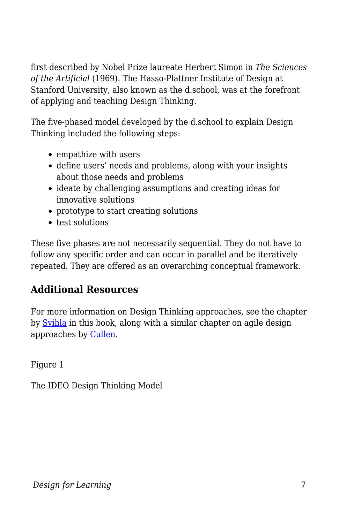first described by Nobel Prize laureate Herbert Simon in *The Sciences of the Artificial* (1969). The Hasso-Plattner Institute of Design at Stanford University, also known as the d.school, was at the forefront of applying and teaching Design Thinking.

The five-phased model developed by the d.school to explain Design Thinking included the following steps:

- empathize with users
- define users' needs and problems, along with your insights about those needs and problems
- ideate by challenging assumptions and creating ideas for innovative solutions
- prototype to start creating solutions
- test solutions

These five phases are not necessarily sequential. They do not have to follow any specific order and can occur in parallel and be iteratively repeated. They are offered as an overarching conceptual framework.

## **Additional Resources**

For more information on Design Thinking approaches, see the chapter by [Svihla](https://edtechbooks.org/id/design_thinking) in this book, along with a similar chapter on agile design approaches by [Cullen.](https://edtechbooks.org/id/agile_design_process)

Figure 1

The IDEO Design Thinking Model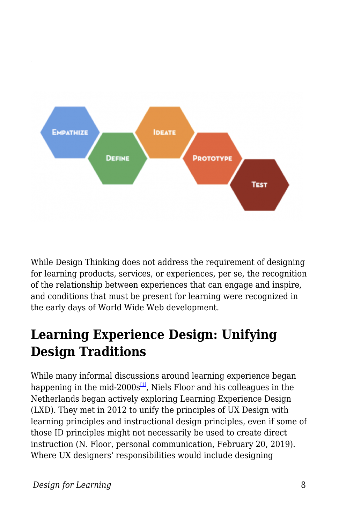

While Design Thinking does not address the requirement of designing for learning products, services, or experiences, per se, the recognition of the relationship between experiences that can engage and inspire, and conditions that must be present for learning were recognized in the early days of World Wide Web development.

# **Learning Experience Design: Unifying Design Traditions**

While many informal discussions around learning experience began happening in the mid-2000s $\frac{1}{2}$ , Niels Floor and his colleagues in the Netherlands began actively exploring Learning Experience Design (LXD). They met in 2012 to unify the principles of UX Design with learning principles and instructional design principles, even if some of those ID principles might not necessarily be used to create direct instruction (N. Floor, personal communication, February 20, 2019). Where UX designers' responsibilities would include designing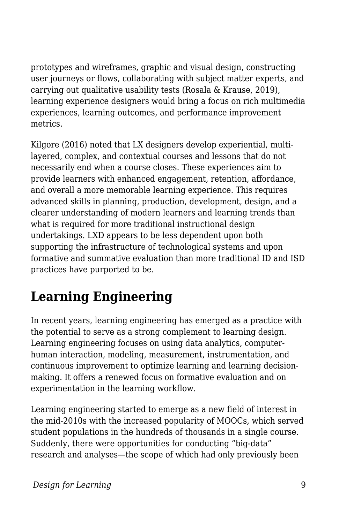prototypes and wireframes, graphic and visual design, constructing user journeys or flows, collaborating with subject matter experts, and carrying out qualitative usability tests (Rosala & Krause, 2019), learning experience designers would bring a focus on rich multimedia experiences, learning outcomes, and performance improvement metrics.

Kilgore (2016) noted that LX designers develop experiential, multilayered, complex, and contextual courses and lessons that do not necessarily end when a course closes. These experiences aim to provide learners with enhanced engagement, retention, affordance, and overall a more memorable learning experience. This requires advanced skills in planning, production, development, design, and a clearer understanding of modern learners and learning trends than what is required for more traditional instructional design undertakings. LXD appears to be less dependent upon both supporting the infrastructure of technological systems and upon formative and summative evaluation than more traditional ID and ISD practices have purported to be.

# **Learning Engineering**

In recent years, learning engineering has emerged as a practice with the potential to serve as a strong complement to learning design. Learning engineering focuses on using data analytics, computerhuman interaction, modeling, measurement, instrumentation, and continuous improvement to optimize learning and learning decisionmaking. It offers a renewed focus on formative evaluation and on experimentation in the learning workflow.

Learning engineering started to emerge as a new field of interest in the mid-2010s with the increased popularity of MOOCs, which served student populations in the hundreds of thousands in a single course. Suddenly, there were opportunities for conducting "big-data" research and analyses—the scope of which had only previously been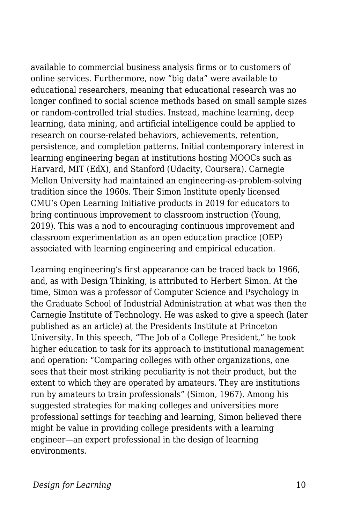available to commercial business analysis firms or to customers of online services. Furthermore, now "big data" were available to educational researchers, meaning that educational research was no longer confined to social science methods based on small sample sizes or random-controlled trial studies. Instead, machine learning, deep learning, data mining, and artificial intelligence could be applied to research on course-related behaviors, achievements, retention, persistence, and completion patterns. Initial contemporary interest in learning engineering began at institutions hosting MOOCs such as Harvard, MIT (EdX), and Stanford (Udacity, Coursera). Carnegie Mellon University had maintained an engineering-as-problem-solving tradition since the 1960s. Their Simon Institute openly licensed CMU's Open Learning Initiative products in 2019 for educators to bring continuous improvement to classroom instruction (Young, 2019). This was a nod to encouraging continuous improvement and classroom experimentation as an open education practice (OEP) associated with learning engineering and empirical education.

Learning engineering's first appearance can be traced back to 1966, and, as with Design Thinking, is attributed to Herbert Simon. At the time, Simon was a professor of Computer Science and Psychology in the Graduate School of Industrial Administration at what was then the Carnegie Institute of Technology. He was asked to give a speech (later published as an article) at the Presidents Institute at Princeton University. In this speech, "The Job of a College President," he took higher education to task for its approach to institutional management and operation: "Comparing colleges with other organizations, one sees that their most striking peculiarity is not their product, but the extent to which they are operated by amateurs. They are institutions run by amateurs to train professionals" (Simon, 1967). Among his suggested strategies for making colleges and universities more professional settings for teaching and learning, Simon believed there might be value in providing college presidents with a learning engineer—an expert professional in the design of learning environments.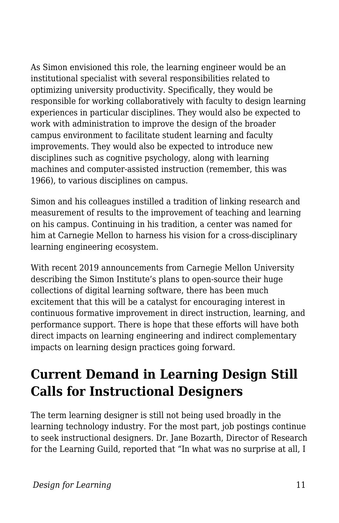As Simon envisioned this role, the learning engineer would be an institutional specialist with several responsibilities related to optimizing university productivity. Specifically, they would be responsible for working collaboratively with faculty to design learning experiences in particular disciplines. They would also be expected to work with administration to improve the design of the broader campus environment to facilitate student learning and faculty improvements. They would also be expected to introduce new disciplines such as cognitive psychology, along with learning machines and computer-assisted instruction (remember, this was 1966), to various disciplines on campus.

Simon and his colleagues instilled a tradition of linking research and measurement of results to the improvement of teaching and learning on his campus. Continuing in his tradition, a center was named for him at Carnegie Mellon to harness his vision for a cross-disciplinary learning engineering ecosystem.

With recent 2019 announcements from Carnegie Mellon University describing the Simon Institute's plans to open-source their huge collections of digital learning software, there has been much excitement that this will be a catalyst for encouraging interest in continuous formative improvement in direct instruction, learning, and performance support. There is hope that these efforts will have both direct impacts on learning engineering and indirect complementary impacts on learning design practices going forward.

# **Current Demand in Learning Design Still Calls for Instructional Designers**

The term learning designer is still not being used broadly in the learning technology industry. For the most part, job postings continue to seek instructional designers. Dr. Jane Bozarth, Director of Research for the Learning Guild, reported that "In what was no surprise at all, I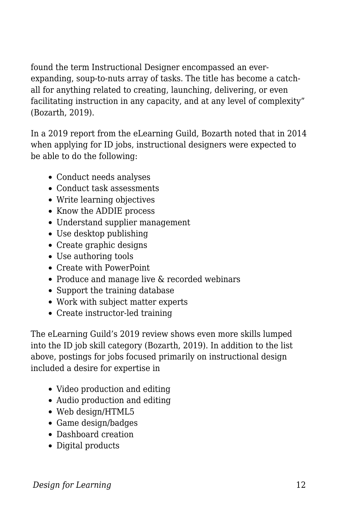found the term Instructional Designer encompassed an everexpanding, soup-to-nuts array of tasks. The title has become a catchall for anything related to creating, launching, delivering, or even facilitating instruction in any capacity, and at any level of complexity" (Bozarth, 2019).

In a 2019 report from the eLearning Guild, Bozarth noted that in 2014 when applying for ID jobs, instructional designers were expected to be able to do the following:

- Conduct needs analyses
- Conduct task assessments
- Write learning objectives
- Know the ADDIE process
- Understand supplier management
- Use desktop publishing
- Create graphic designs
- Use authoring tools
- Create with PowerPoint
- Produce and manage live & recorded webinars
- Support the training database
- Work with subject matter experts
- Create instructor-led training

The eLearning Guild's 2019 review shows even more skills lumped into the ID job skill category (Bozarth, 2019). In addition to the list above, postings for jobs focused primarily on instructional design included a desire for expertise in

- Video production and editing
- Audio production and editing
- Web design/HTML5
- Game design/badges
- Dashboard creation
- Digital products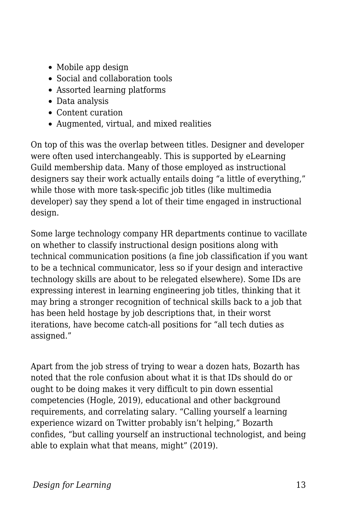- Mobile app design
- Social and collaboration tools
- Assorted learning platforms
- Data analysis
- Content curation
- Augmented, virtual, and mixed realities

On top of this was the overlap between titles. Designer and developer were often used interchangeably. This is supported by eLearning Guild membership data. Many of those employed as instructional designers say their work actually entails doing "a little of everything," while those with more task-specific job titles (like multimedia developer) say they spend a lot of their time engaged in instructional design.

Some large technology company HR departments continue to vacillate on whether to classify instructional design positions along with technical communication positions (a fine job classification if you want to be a technical communicator, less so if your design and interactive technology skills are about to be relegated elsewhere). Some IDs are expressing interest in learning engineering job titles, thinking that it may bring a stronger recognition of technical skills back to a job that has been held hostage by job descriptions that, in their worst iterations, have become catch-all positions for "all tech duties as assigned."

Apart from the job stress of trying to wear a dozen hats, Bozarth has noted that the role confusion about what it is that IDs should do or ought to be doing makes it very difficult to pin down essential competencies (Hogle, 2019), educational and other background requirements, and correlating salary. "Calling yourself a learning experience wizard on Twitter probably isn't helping," Bozarth confides, "but calling yourself an instructional technologist, and being able to explain what that means, might" (2019).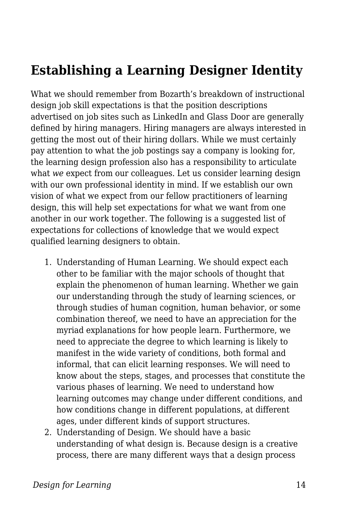# **Establishing a Learning Designer Identity**

What we should remember from Bozarth's breakdown of instructional design job skill expectations is that the position descriptions advertised on job sites such as LinkedIn and Glass Door are generally defined by hiring managers. Hiring managers are always interested in getting the most out of their hiring dollars. While we must certainly pay attention to what the job postings say a company is looking for, the learning design profession also has a responsibility to articulate what *we* expect from our colleagues. Let us consider learning design with our own professional identity in mind. If we establish our own vision of what we expect from our fellow practitioners of learning design, this will help set expectations for what we want from one another in our work together. The following is a suggested list of expectations for collections of knowledge that we would expect qualified learning designers to obtain.

- 1. Understanding of Human Learning. We should expect each other to be familiar with the major schools of thought that explain the phenomenon of human learning. Whether we gain our understanding through the study of learning sciences, or through studies of human cognition, human behavior, or some combination thereof, we need to have an appreciation for the myriad explanations for how people learn. Furthermore, we need to appreciate the degree to which learning is likely to manifest in the wide variety of conditions, both formal and informal, that can elicit learning responses. We will need to know about the steps, stages, and processes that constitute the various phases of learning. We need to understand how learning outcomes may change under different conditions, and how conditions change in different populations, at different ages, under different kinds of support structures.
- 2. Understanding of Design. We should have a basic understanding of what design is. Because design is a creative process, there are many different ways that a design process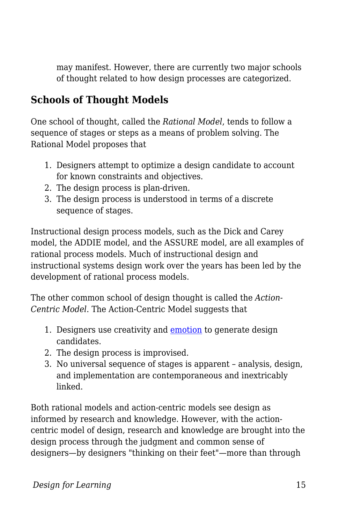may manifest. However, there are currently two major schools of thought related to how design processes are categorized.

### **Schools of Thought Models**

One school of thought, called the *Rational Model*, tends to follow a sequence of stages or steps as a means of problem solving. The Rational Model proposes that

- 1. Designers attempt to optimize a design candidate to account for known constraints and objectives.
- 2. The design process is plan-driven.
- 3. The design process is understood in terms of a discrete sequence of stages.

Instructional design process models, such as the Dick and Carey model, the ADDIE model, and the ASSURE model, are all examples of rational process models. Much of instructional design and instructional systems design work over the years has been led by the development of rational process models.

The other common school of design thought is called the *Action-Centric Model*. The Action-Centric Model suggests that

- 1. Designers use creativity and **emotion** to generate design candidates.
- 2. The design process is improvised.
- 3. No universal sequence of stages is apparent analysis, design, and implementation are contemporaneous and inextricably linked.

Both rational models and action-centric models see design as informed by research and knowledge. However, with the actioncentric model of design, research and knowledge are brought into the design process through the judgment and common sense of designers—by designers "thinking on their feet"—more than through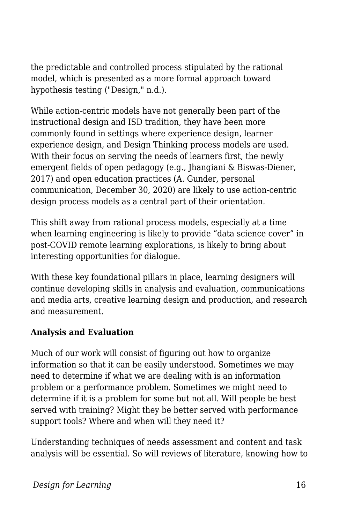the predictable and controlled process stipulated by the rational model, which is presented as a more formal approach toward hypothesis testing ("Design," n.d.).

While action-centric models have not generally been part of the instructional design and ISD tradition, they have been more commonly found in settings where experience design, learner experience design, and Design Thinking process models are used. With their focus on serving the needs of learners first, the newly emergent fields of open pedagogy (e.g., Jhangiani & Biswas-Diener, 2017) and open education practices (A. Gunder, personal communication, December 30, 2020) are likely to use action-centric design process models as a central part of their orientation.

This shift away from rational process models, especially at a time when learning engineering is likely to provide "data science cover" in post-COVID remote learning explorations, is likely to bring about interesting opportunities for dialogue.

With these key foundational pillars in place, learning designers will continue developing skills in analysis and evaluation, communications and media arts, creative learning design and production, and research and measurement.

### **Analysis and Evaluation**

Much of our work will consist of figuring out how to organize information so that it can be easily understood. Sometimes we may need to determine if what we are dealing with is an information problem or a performance problem. Sometimes we might need to determine if it is a problem for some but not all. Will people be best served with training? Might they be better served with performance support tools? Where and when will they need it?

Understanding techniques of needs assessment and content and task analysis will be essential. So will reviews of literature, knowing how to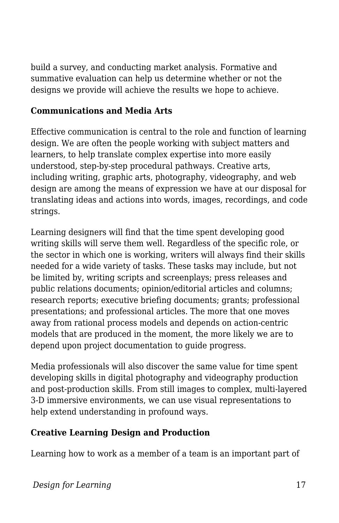build a survey, and conducting market analysis. Formative and summative evaluation can help us determine whether or not the designs we provide will achieve the results we hope to achieve.

#### **Communications and Media Arts**

Effective communication is central to the role and function of learning design. We are often the people working with subject matters and learners, to help translate complex expertise into more easily understood, step-by-step procedural pathways. Creative arts, including writing, graphic arts, photography, videography, and web design are among the means of expression we have at our disposal for translating ideas and actions into words, images, recordings, and code strings.

Learning designers will find that the time spent developing good writing skills will serve them well. Regardless of the specific role, or the sector in which one is working, writers will always find their skills needed for a wide variety of tasks. These tasks may include, but not be limited by, writing scripts and screenplays; press releases and public relations documents; opinion/editorial articles and columns; research reports; executive briefing documents; grants; professional presentations; and professional articles. The more that one moves away from rational process models and depends on action-centric models that are produced in the moment, the more likely we are to depend upon project documentation to guide progress.

Media professionals will also discover the same value for time spent developing skills in digital photography and videography production and post-production skills. From still images to complex, multi-layered 3-D immersive environments, we can use visual representations to help extend understanding in profound ways.

### **Creative Learning Design and Production**

Learning how to work as a member of a team is an important part of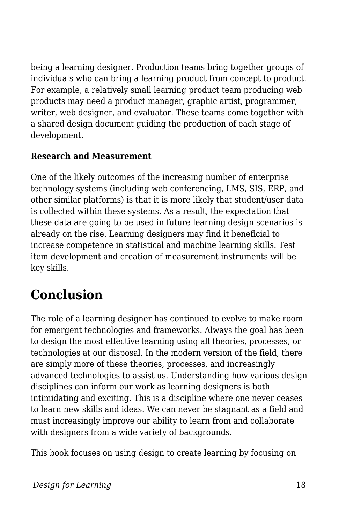being a learning designer. Production teams bring together groups of individuals who can bring a learning product from concept to product. For example, a relatively small learning product team producing web products may need a product manager, graphic artist, programmer, writer, web designer, and evaluator. These teams come together with a shared design document guiding the production of each stage of development.

#### **Research and Measurement**

One of the likely outcomes of the increasing number of enterprise technology systems (including web conferencing, LMS, SIS, ERP, and other similar platforms) is that it is more likely that student/user data is collected within these systems. As a result, the expectation that these data are going to be used in future learning design scenarios is already on the rise. Learning designers may find it beneficial to increase competence in statistical and machine learning skills. Test item development and creation of measurement instruments will be key skills.

# **Conclusion**

The role of a learning designer has continued to evolve to make room for emergent technologies and frameworks. Always the goal has been to design the most effective learning using all theories, processes, or technologies at our disposal. In the modern version of the field, there are simply more of these theories, processes, and increasingly advanced technologies to assist us. Understanding how various design disciplines can inform our work as learning designers is both intimidating and exciting. This is a discipline where one never ceases to learn new skills and ideas. We can never be stagnant as a field and must increasingly improve our ability to learn from and collaborate with designers from a wide variety of backgrounds.

This book focuses on using design to create learning by focusing on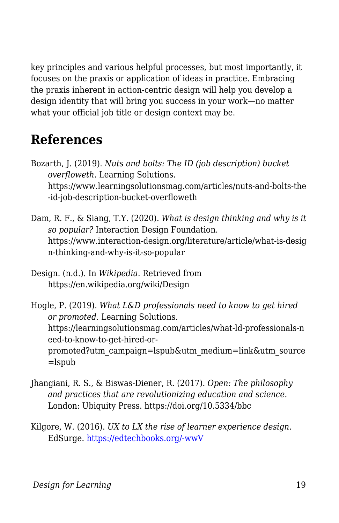key principles and various helpful processes, but most importantly, it focuses on the praxis or application of ideas in practice. Embracing the praxis inherent in action-centric design will help you develop a design identity that will bring you success in your work—no matter what your official job title or design context may be.

# **References**

- Bozarth, J. (2019). *Nuts and bolts: The ID (job description) bucket overfloweth.* Learning Solutions. https://www.learningsolutionsmag.com/articles/nuts-and-bolts-the -id-job-description-bucket-overfloweth
- Dam, R. F., & Siang, T.Y. (2020). *What is design thinking and why is it so popular?* Interaction Design Foundation. https://www.interaction-design.org/literature/article/what-is-desig n-thinking-and-why-is-it-so-popular
- Design. (n.d.). In *Wikipedia*. Retrieved from https://en.wikipedia.org/wiki/Design

Hogle, P. (2019). *What L&D professionals need to know to get hired or promoted*. Learning Solutions. https://learningsolutionsmag.com/articles/what-ld-professionals-n eed-to-know-to-get-hired-orpromoted?utm\_campaign=lspub&utm\_medium=link&utm\_source =lspub

- Jhangiani, R. S., & Biswas-Diener, R. (2017). *Open: The philosophy and practices that are revolutionizing education and science*. London: Ubiquity Press. https://doi.org/10.5334/bbc
- Kilgore, W. (2016). *UX to LX the rise of learner experience design*. EdSurge. [https://edtechbooks.org/-wwV](https://www.edsurge.com/news/2016-06-20-ux-to-lx-the-rise-of-learner-experience-design)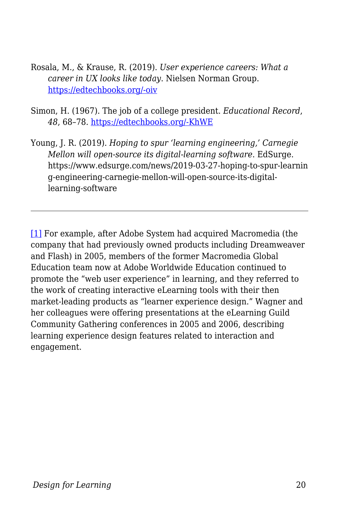- Rosala, M., & Krause, R. (2019). *User experience careers: What a career in UX looks like today*. Nielsen Norman Group. [https://edtechbooks.org/-oiv](https://media.nngroup.com/media/reports/free/UserExperienceCareers_2nd_Edition.pdf)
- Simon, H. (1967). The job of a college president. *Educational Record*, *48*, 68–78. [https://edtechbooks.org/-KhWE](http://digitalcollections.library.cmu.edu/awweb/awarchive?type=file&item=33692)
- Young, J. R. (2019). *Hoping to spur 'learning engineering,' Carnegie Mellon will open-source its digital-learning software*. EdSurge. https://www.edsurge.com/news/2019-03-27-hoping-to-spur-learnin g-engineering-carnegie-mellon-will-open-source-its-digitallearning-software

[\[1\]](#page--1-0) For example, after Adobe System had acquired Macromedia (the company that had previously owned products including Dreamweaver and Flash) in 2005, members of the former Macromedia Global Education team now at Adobe Worldwide Education continued to promote the "web user experience" in learning, and they referred to the work of creating interactive eLearning tools with their then market-leading products as "learner experience design." Wagner and her colleagues were offering presentations at the eLearning Guild Community Gathering conferences in 2005 and 2006, describing learning experience design features related to interaction and engagement.